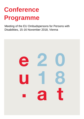# **Conference Programme**

Meeting of the EU Ombudspersons for Persons with Disabilities, 15-16 November 2018, Vienna

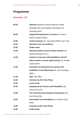## **Programme**

### **November, 15th**

| 09:30 | <b>Opening: Minister for Social Affairs Ms. Beate</b>   |
|-------|---------------------------------------------------------|
|       | Hartinger-Klein and Disability Ombudsman Mr.            |
|       | Hansjoerg Hofer                                         |
| 09:50 | <b>Supported Employment in Austria; Mr. Markus</b>      |
|       | Neuherz (dabei Austria)                                 |
| 10:00 | <b>Youth Coaching; Ms. Vera Sokol (ARGE Juco Tirol)</b> |
| 10:10 | <b>Questions from the Audience</b>                      |
| 10:25 | <b>Coffee break</b>                                     |
| 10:40 | <b>Working towards inclusive labour markets; Ms.</b>    |
|       | Martha Stickings (F.R.A.)                               |
| 11:05 | Inclusion of persons with disabilities in the EU        |
|       | labour market: a human rights priority; Mr. Rodolfo     |
|       | Cattani (EDF)                                           |
| 11:30 | Promotion of employment for persons with                |
|       | disabilities in the Netherlands; Mr. Dick Houtzager     |
|       | (NED)                                                   |
| 11:55 | <b>TBA</b> ; TBA (BEL)                                  |
| 12:20 | <b>Summary by Ms. Petra Plicka</b>                      |
| 12:30 | <b>Lunch break</b>                                      |
| 13:35 | <b>Employment for Persons with Disabilities; Ms.</b>    |
|       | Anete Ilves (LAT)                                       |
| 14:00 | The Finish Non-Discrimination Ombudsman; Ms.            |
|       | Kirsi Pimiä (FIN)                                       |
| 14:25 | Reasonable Accommodation; Ms. Fabienne Jegu             |
|       | (FRA)                                                   |
| 14:50 | <b>Summary by Ms. Petra Plicka</b>                      |
| 14:55 | <b>Coffee break</b>                                     |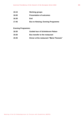| 15:15 | <b>Working groups</b>                     |
|-------|-------------------------------------------|
| 16:00 | <b>Presentation of outcomes</b>           |
| 16:30 | End                                       |
| 17:45 | <b>Bus to Hietzing; Evening Programme</b> |

#### **Evening Programme:**

| 18:30 | Guided tour of Schönbrunn Palace          |
|-------|-------------------------------------------|
| 19:30 | <b>Bus transfer to the restaurant</b>     |
| 19:45 | Dinner at the restaurant "Maria Theresia" |